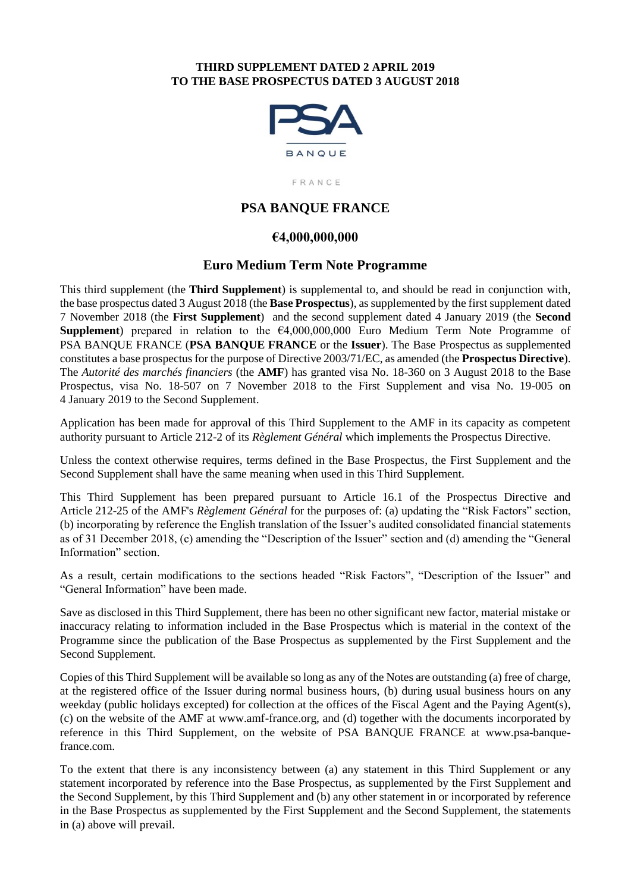#### **THIRD SUPPLEMENT DATED 2 APRIL 2019 TO THE BASE PROSPECTUS DATED 3 AUGUST 2018**



FRANCE

# **PSA BANQUE FRANCE**

# **€4,000,000,000**

# **Euro Medium Term Note Programme**

This third supplement (the **Third Supplement**) is supplemental to, and should be read in conjunction with, the base prospectus dated 3 August 2018 (the **Base Prospectus**), as supplemented by the first supplement dated 7 November 2018 (the **First Supplement**) and the second supplement dated 4 January 2019 (the **Second Supplement**) prepared in relation to the €4,000,000,000 Euro Medium Term Note Programme of PSA BANQUE FRANCE (**PSA BANQUE FRANCE** or the **Issuer**). The Base Prospectus as supplemented constitutes a base prospectus for the purpose of Directive 2003/71/EC, as amended (the **Prospectus Directive**). The *Autorité des marchés financiers* (the **AMF**) has granted visa No. 18-360 on 3 August 2018 to the Base Prospectus, visa No. 18-507 on 7 November 2018 to the First Supplement and visa No. 19-005 on 4 January 2019 to the Second Supplement.

Application has been made for approval of this Third Supplement to the AMF in its capacity as competent authority pursuant to Article 212-2 of its *Règlement Général* which implements the Prospectus Directive.

Unless the context otherwise requires, terms defined in the Base Prospectus, the First Supplement and the Second Supplement shall have the same meaning when used in this Third Supplement.

This Third Supplement has been prepared pursuant to Article 16.1 of the Prospectus Directive and Article 212-25 of the AMF's *Règlement Général* for the purposes of: (a) updating the "Risk Factors" section, (b) incorporating by reference the English translation of the Issuer's audited consolidated financial statements as of 31 December 2018, (c) amending the "Description of the Issuer" section and (d) amending the "General Information" section.

As a result, certain modifications to the sections headed "Risk Factors", "Description of the Issuer" and "General Information" have been made.

Save as disclosed in this Third Supplement, there has been no other significant new factor, material mistake or inaccuracy relating to information included in the Base Prospectus which is material in the context of the Programme since the publication of the Base Prospectus as supplemented by the First Supplement and the Second Supplement.

Copies of this Third Supplement will be available so long as any of the Notes are outstanding (a) free of charge, at the registered office of the Issuer during normal business hours, (b) during usual business hours on any weekday (public holidays excepted) for collection at the offices of the Fiscal Agent and the Paying Agent(s), (c) on the website of the AMF at www.amf-france.org, and (d) together with the documents incorporated by reference in this Third Supplement, on the website of PSA BANQUE FRANCE at www.psa-banquefrance.com.

To the extent that there is any inconsistency between (a) any statement in this Third Supplement or any statement incorporated by reference into the Base Prospectus, as supplemented by the First Supplement and the Second Supplement, by this Third Supplement and (b) any other statement in or incorporated by reference in the Base Prospectus as supplemented by the First Supplement and the Second Supplement, the statements in (a) above will prevail.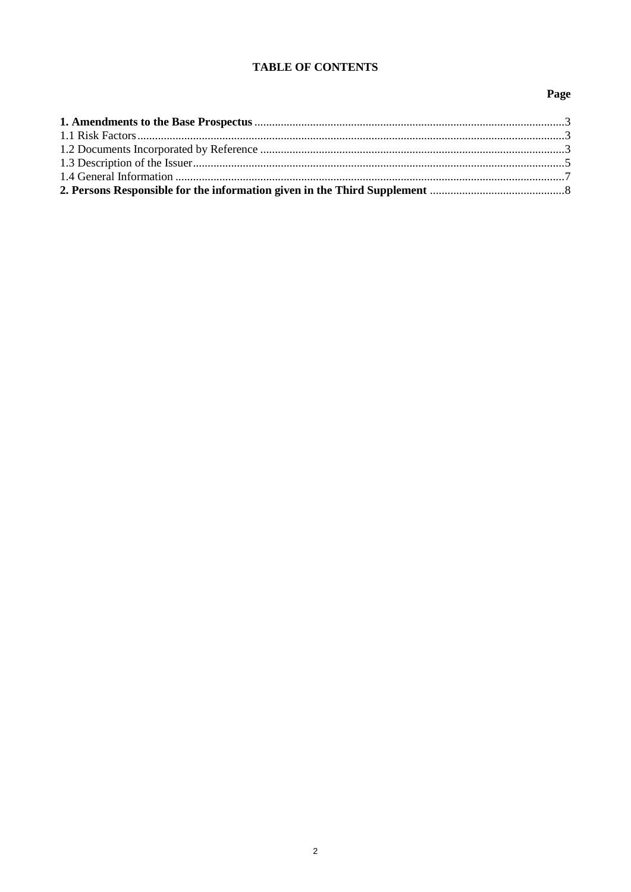# **TABLE OF CONTENTS**

# Page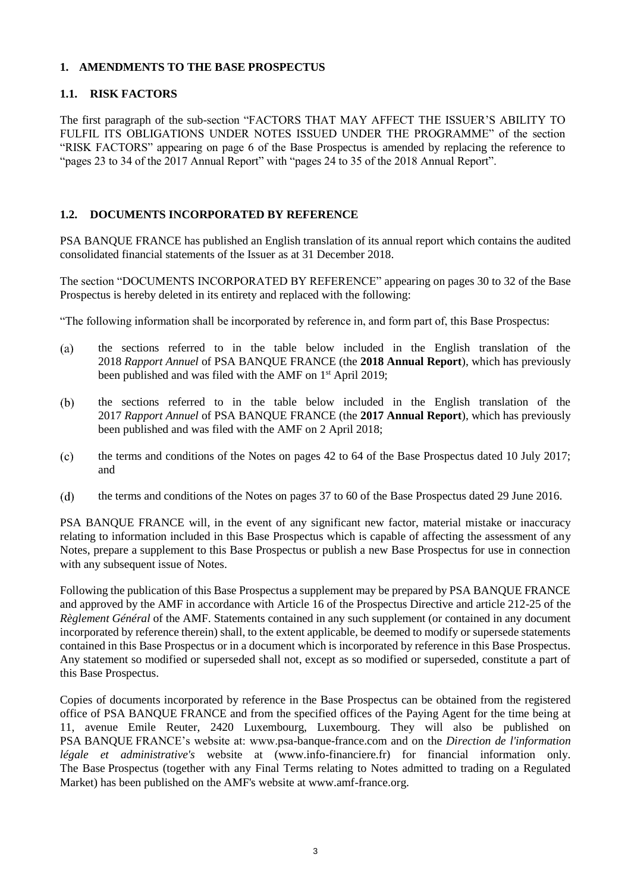# **1. AMENDMENTS TO THE BASE PROSPECTUS**

## **1.1. RISK FACTORS**

The first paragraph of the sub-section "FACTORS THAT MAY AFFECT THE ISSUER'S ABILITY TO FULFIL ITS OBLIGATIONS UNDER NOTES ISSUED UNDER THE PROGRAMME" of the section "RISK FACTORS" appearing on page 6 of the Base Prospectus is amended by replacing the reference to "pages 23 to 34 of the 2017 Annual Report" with "pages 24 to 35 of the 2018 Annual Report".

# **1.2. DOCUMENTS INCORPORATED BY REFERENCE**

PSA BANQUE FRANCE has published an English translation of its annual report which contains the audited consolidated financial statements of the Issuer as at 31 December 2018.

The section "DOCUMENTS INCORPORATED BY REFERENCE" appearing on pages 30 to 32 of the Base Prospectus is hereby deleted in its entirety and replaced with the following:

"The following information shall be incorporated by reference in, and form part of, this Base Prospectus:

- $(a)$ the sections referred to in the table below included in the English translation of the 2018 *Rapport Annuel* of PSA BANQUE FRANCE (the **2018 Annual Report**), which has previously been published and was filed with the AMF on 1<sup>st</sup> April 2019;
- $(b)$ the sections referred to in the table below included in the English translation of the 2017 *Rapport Annuel* of PSA BANQUE FRANCE (the **2017 Annual Report**), which has previously been published and was filed with the AMF on 2 April 2018;
- $(c)$ the terms and conditions of the Notes on pages 42 to 64 of the Base Prospectus dated 10 July 2017; and
- $(d)$ the terms and conditions of the Notes on pages 37 to 60 of the Base Prospectus dated 29 June 2016.

PSA BANQUE FRANCE will, in the event of any significant new factor, material mistake or inaccuracy relating to information included in this Base Prospectus which is capable of affecting the assessment of any Notes, prepare a supplement to this Base Prospectus or publish a new Base Prospectus for use in connection with any subsequent issue of Notes.

Following the publication of this Base Prospectus a supplement may be prepared by PSA BANQUE FRANCE and approved by the AMF in accordance with Article 16 of the Prospectus Directive and article 212-25 of the *Règlement Général* of the AMF. Statements contained in any such supplement (or contained in any document incorporated by reference therein) shall, to the extent applicable, be deemed to modify or supersede statements contained in this Base Prospectus or in a document which is incorporated by reference in this Base Prospectus. Any statement so modified or superseded shall not, except as so modified or superseded, constitute a part of this Base Prospectus.

Copies of documents incorporated by reference in the Base Prospectus can be obtained from the registered office of PSA BANQUE FRANCE and from the specified offices of the Paying Agent for the time being at 11, avenue Emile Reuter, 2420 Luxembourg, Luxembourg. They will also be published on PSA BANQUE FRANCE's website at: www.psa-banque-france.com and on the *Direction de l'information légale et administrative's* website at (www.info-financiere.fr) for financial information only. The Base Prospectus (together with any Final Terms relating to Notes admitted to trading on a Regulated Market) has been published on the AMF's website at www.amf-france.org.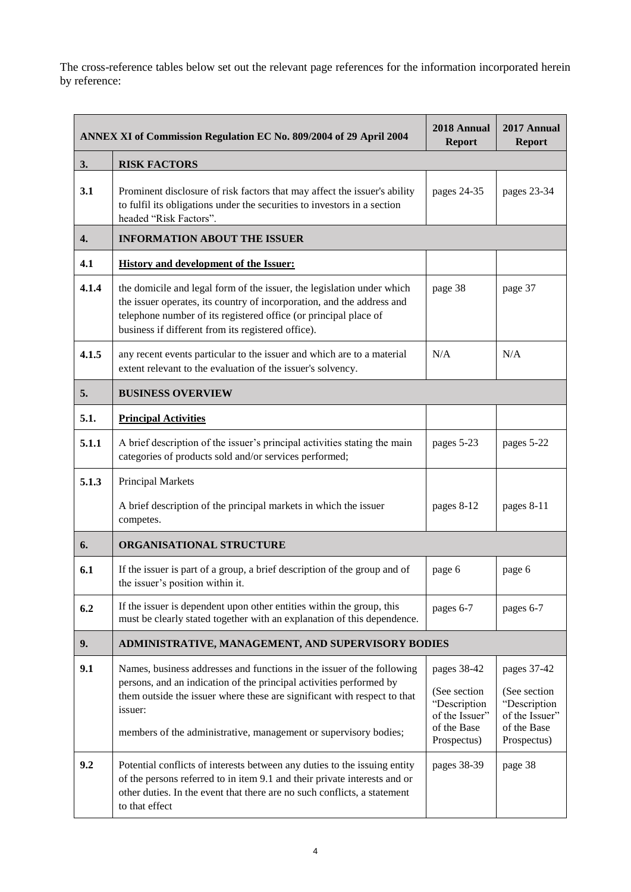The cross-reference tables below set out the relevant page references for the information incorporated herein by reference:

| ANNEX XI of Commission Regulation EC No. 809/2004 of 29 April 2004 |                                                                                                                                                                                                                                                                                                          | 2018 Annual<br><b>Report</b>                                                                | 2017 Annual<br><b>Report</b>                                                                |  |  |
|--------------------------------------------------------------------|----------------------------------------------------------------------------------------------------------------------------------------------------------------------------------------------------------------------------------------------------------------------------------------------------------|---------------------------------------------------------------------------------------------|---------------------------------------------------------------------------------------------|--|--|
| 3.                                                                 | <b>RISK FACTORS</b>                                                                                                                                                                                                                                                                                      |                                                                                             |                                                                                             |  |  |
| 3.1                                                                | Prominent disclosure of risk factors that may affect the issuer's ability<br>to fulfil its obligations under the securities to investors in a section<br>headed "Risk Factors".                                                                                                                          | pages 24-35                                                                                 | pages 23-34                                                                                 |  |  |
| 4.                                                                 | <b>INFORMATION ABOUT THE ISSUER</b>                                                                                                                                                                                                                                                                      |                                                                                             |                                                                                             |  |  |
| 4.1                                                                | <b>History and development of the Issuer:</b>                                                                                                                                                                                                                                                            |                                                                                             |                                                                                             |  |  |
| 4.1.4                                                              | the domicile and legal form of the issuer, the legislation under which<br>the issuer operates, its country of incorporation, and the address and<br>telephone number of its registered office (or principal place of<br>business if different from its registered office).                               | page 38                                                                                     | page 37                                                                                     |  |  |
| 4.1.5                                                              | any recent events particular to the issuer and which are to a material<br>extent relevant to the evaluation of the issuer's solvency.                                                                                                                                                                    | N/A                                                                                         | N/A                                                                                         |  |  |
| 5.                                                                 | <b>BUSINESS OVERVIEW</b>                                                                                                                                                                                                                                                                                 |                                                                                             |                                                                                             |  |  |
| 5.1.                                                               | <b>Principal Activities</b>                                                                                                                                                                                                                                                                              |                                                                                             |                                                                                             |  |  |
| 5.1.1                                                              | A brief description of the issuer's principal activities stating the main<br>categories of products sold and/or services performed;                                                                                                                                                                      | pages 5-23                                                                                  | pages 5-22                                                                                  |  |  |
| 5.1.3                                                              | Principal Markets                                                                                                                                                                                                                                                                                        |                                                                                             |                                                                                             |  |  |
|                                                                    | A brief description of the principal markets in which the issuer<br>competes.                                                                                                                                                                                                                            | pages 8-12                                                                                  | pages 8-11                                                                                  |  |  |
| 6.                                                                 | ORGANISATIONAL STRUCTURE                                                                                                                                                                                                                                                                                 |                                                                                             |                                                                                             |  |  |
| 6.1                                                                | If the issuer is part of a group, a brief description of the group and of<br>the issuer's position within it.                                                                                                                                                                                            | page 6                                                                                      | page 6                                                                                      |  |  |
| 6.2                                                                | If the issuer is dependent upon other entities within the group, this<br>must be clearly stated together with an explanation of this dependence.                                                                                                                                                         | pages 6-7                                                                                   | pages 6-7                                                                                   |  |  |
| 9.                                                                 | ADMINISTRATIVE, MANAGEMENT, AND SUPERVISORY BODIES                                                                                                                                                                                                                                                       |                                                                                             |                                                                                             |  |  |
| 9.1                                                                | Names, business addresses and functions in the issuer of the following<br>persons, and an indication of the principal activities performed by<br>them outside the issuer where these are significant with respect to that<br>issuer:<br>members of the administrative, management or supervisory bodies; | pages 38-42<br>(See section<br>"Description<br>of the Issuer"<br>of the Base<br>Prospectus) | pages 37-42<br>(See section<br>"Description<br>of the Issuer"<br>of the Base<br>Prospectus) |  |  |
| 9.2                                                                | Potential conflicts of interests between any duties to the issuing entity<br>of the persons referred to in item 9.1 and their private interests and or<br>other duties. In the event that there are no such conflicts, a statement<br>to that effect                                                     | pages 38-39                                                                                 | page 38                                                                                     |  |  |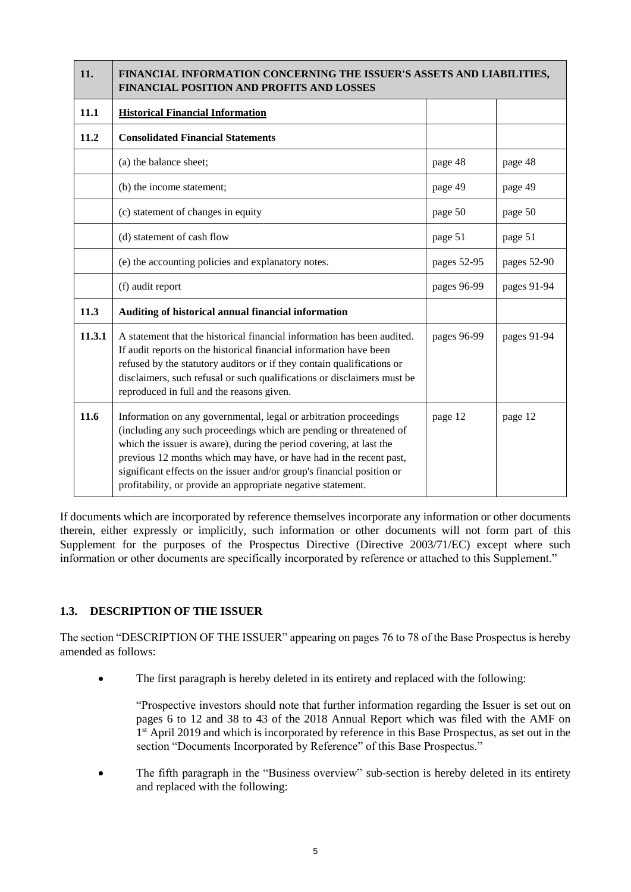| 11.    | FINANCIAL INFORMATION CONCERNING THE ISSUER'S ASSETS AND LIABILITIES,<br>FINANCIAL POSITION AND PROFITS AND LOSSES                                                                                                                                                                                                                                                                                                             |             |             |  |
|--------|--------------------------------------------------------------------------------------------------------------------------------------------------------------------------------------------------------------------------------------------------------------------------------------------------------------------------------------------------------------------------------------------------------------------------------|-------------|-------------|--|
| 11.1   | <b>Historical Financial Information</b>                                                                                                                                                                                                                                                                                                                                                                                        |             |             |  |
| 11.2   | <b>Consolidated Financial Statements</b>                                                                                                                                                                                                                                                                                                                                                                                       |             |             |  |
|        | (a) the balance sheet;                                                                                                                                                                                                                                                                                                                                                                                                         | page 48     | page 48     |  |
|        | (b) the income statement;                                                                                                                                                                                                                                                                                                                                                                                                      | page 49     | page 49     |  |
|        | (c) statement of changes in equity                                                                                                                                                                                                                                                                                                                                                                                             | page 50     | page 50     |  |
|        | (d) statement of cash flow                                                                                                                                                                                                                                                                                                                                                                                                     | page 51     | page 51     |  |
|        | (e) the accounting policies and explanatory notes.                                                                                                                                                                                                                                                                                                                                                                             | pages 52-95 | pages 52-90 |  |
|        | (f) audit report                                                                                                                                                                                                                                                                                                                                                                                                               | pages 96-99 | pages 91-94 |  |
| 11.3   | Auditing of historical annual financial information                                                                                                                                                                                                                                                                                                                                                                            |             |             |  |
| 11.3.1 | A statement that the historical financial information has been audited.<br>If audit reports on the historical financial information have been<br>refused by the statutory auditors or if they contain qualifications or<br>disclaimers, such refusal or such qualifications or disclaimers must be<br>reproduced in full and the reasons given.                                                                                | pages 96-99 | pages 91-94 |  |
| 11.6   | Information on any governmental, legal or arbitration proceedings<br>(including any such proceedings which are pending or threatened of<br>which the issuer is aware), during the period covering, at last the<br>previous 12 months which may have, or have had in the recent past,<br>significant effects on the issuer and/or group's financial position or<br>profitability, or provide an appropriate negative statement. | page 12     | page 12     |  |

If documents which are incorporated by reference themselves incorporate any information or other documents therein, either expressly or implicitly, such information or other documents will not form part of this Supplement for the purposes of the Prospectus Directive (Directive 2003/71/EC) except where such information or other documents are specifically incorporated by reference or attached to this Supplement."

# **1.3. DESCRIPTION OF THE ISSUER**

The section "DESCRIPTION OF THE ISSUER" appearing on pages 76 to 78 of the Base Prospectus is hereby amended as follows:

The first paragraph is hereby deleted in its entirety and replaced with the following:

"Prospective investors should note that further information regarding the Issuer is set out on pages 6 to 12 and 38 to 43 of the 2018 Annual Report which was filed with the AMF on 1<sup>st</sup> April 2019 and which is incorporated by reference in this Base Prospectus, as set out in the section "Documents Incorporated by Reference" of this Base Prospectus."

 The fifth paragraph in the "Business overview" sub-section is hereby deleted in its entirety and replaced with the following: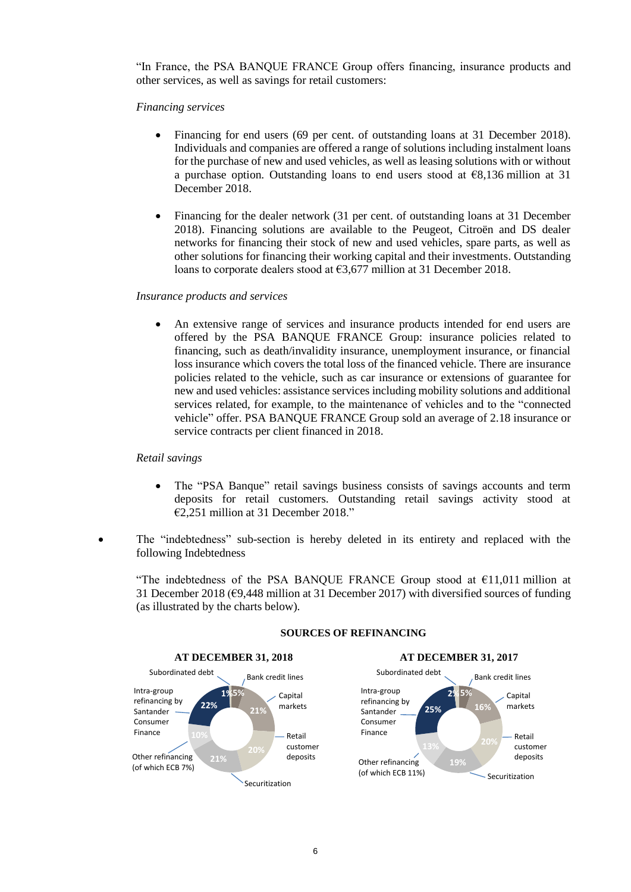"In France, the PSA BANQUE FRANCE Group offers financing, insurance products and other services, as well as savings for retail customers:

#### *Financing services*

- Financing for end users (69 per cent. of outstanding loans at 31 December 2018). Individuals and companies are offered a range of solutions including instalment loans for the purchase of new and used vehicles, as well as leasing solutions with or without a purchase option. Outstanding loans to end users stood at  $\epsilon$ 8,136 million at 31 December 2018.
- Financing for the dealer network (31 per cent. of outstanding loans at 31 December 2018). Financing solutions are available to the Peugeot, Citroën and DS dealer networks for financing their stock of new and used vehicles, spare parts, as well as other solutions for financing their working capital and their investments. Outstanding loans to corporate dealers stood at €3,677 million at 31 December 2018.

#### *Insurance products and services*

 An extensive range of services and insurance products intended for end users are offered by the PSA BANQUE FRANCE Group: insurance policies related to financing, such as death/invalidity insurance, unemployment insurance, or financial loss insurance which covers the total loss of the financed vehicle. There are insurance policies related to the vehicle, such as car insurance or extensions of guarantee for new and used vehicles: assistance services including mobility solutions and additional services related, for example, to the maintenance of vehicles and to the "connected vehicle" offer. PSA BANQUE FRANCE Group sold an average of 2.18 insurance or service contracts per client financed in 2018.

#### *Retail savings*

- The "PSA Banque" retail savings business consists of savings accounts and term deposits for retail customers. Outstanding retail savings activity stood at €2,251 million at 31 December 2018."
- The "indebtedness" sub-section is hereby deleted in its entirety and replaced with the following Indebtedness

"The indebtedness of the PSA BANQUE FRANCE Group stood at  $\epsilon$ 11,011 million at 31 December 2018 (€9,448 million at 31 December 2017) with diversified sources of funding (as illustrated by the charts below).



#### **SOURCES OF REFINANCING**

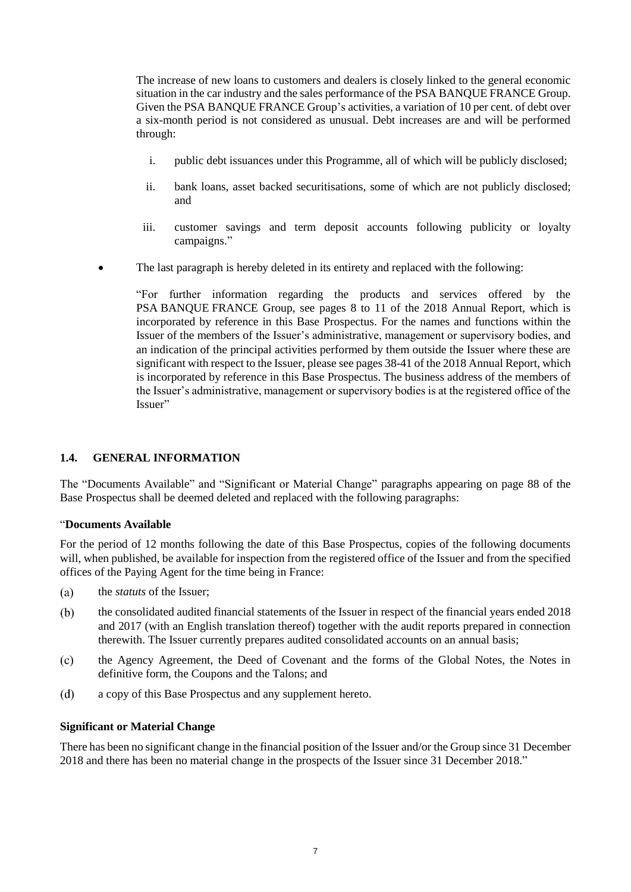The increase of new loans to customers and dealers is closely linked to the general economic situation in the car industry and the sales performance of the PSA BANQUE FRANCE Group. Given the PSA BANQUE FRANCE Group's activities, a variation of 10 per cent. of debt over a six-month period is not considered as unusual. Debt increases are and will be performed through:

- i. public debt issuances under this Programme, all of which will be publicly disclosed;
- ii. bank loans, asset backed securitisations, some of which are not publicly disclosed; and
- iii. customer savings and term deposit accounts following publicity or loyalty campaigns."
- The last paragraph is hereby deleted in its entirety and replaced with the following:

"For further information regarding the products and services offered by the PSA BANQUE FRANCE Group, see pages 8 to 11 of the 2018 Annual Report, which is incorporated by reference in this Base Prospectus. For the names and functions within the Issuer of the members of the Issuer's administrative, management or supervisory bodies, and an indication of the principal activities performed by them outside the Issuer where these are significant with respect to the Issuer, please see pages 38-41 of the 2018 Annual Report, which is incorporated by reference in this Base Prospectus. The business address of the members of the Issuer's administrative, management or supervisory bodies is at the registered office of the Issuer"

#### **1.4. GENERAL INFORMATION**

The "Documents Available" and "Significant or Material Change" paragraphs appearing on page 88 of the Base Prospectus shall be deemed deleted and replaced with the following paragraphs:

#### "**Documents Available**

For the period of 12 months following the date of this Base Prospectus, copies of the following documents will, when published, be available for inspection from the registered office of the Issuer and from the specified offices of the Paying Agent for the time being in France:

- $(a)$ the *statuts* of the Issuer;
- $(b)$ the consolidated audited financial statements of the Issuer in respect of the financial years ended 2018 and 2017 (with an English translation thereof) together with the audit reports prepared in connection therewith. The Issuer currently prepares audited consolidated accounts on an annual basis;
- the Agency Agreement, the Deed of Covenant and the forms of the Global Notes, the Notes in  $(c)$ definitive form, the Coupons and the Talons; and
- $(d)$ a copy of this Base Prospectus and any supplement hereto.

#### **Significant or Material Change**

There has been no significant change in the financial position of the Issuer and/or the Group since 31 December 2018 and there has been no material change in the prospects of the Issuer since 31 December 2018."